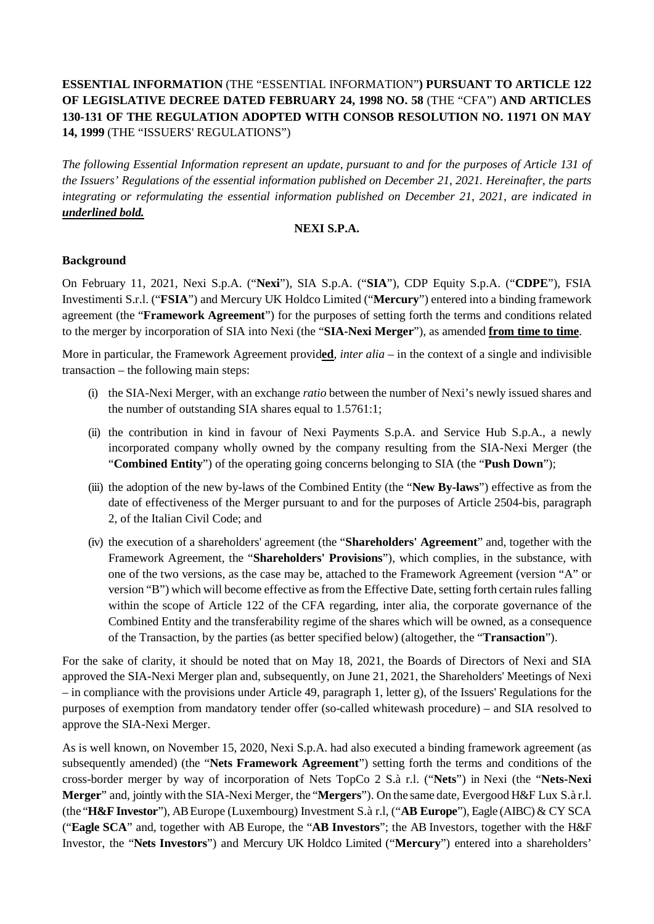# **ESSENTIAL INFORMATION** (THE "ESSENTIAL INFORMATION"**) PURSUANT TO ARTICLE 122 OF LEGISLATIVE DECREE DATED FEBRUARY 24, 1998 NO. 58** (THE "CFA") **AND ARTICLES 130-131 OF THE REGULATION ADOPTED WITH CONSOB RESOLUTION NO. 11971 ON MAY 14, 1999** (THE "ISSUERS' REGULATIONS")

*The following Essential Information represent an update, pursuant to and for the purposes of Article 131 of the Issuers' Regulations of the essential information published on December 21, 2021. Hereinafter, the parts integrating or reformulating the essential information published on December 21, 2021, are indicated in underlined bold.*

#### **NEXI S.P.A.**

## **Background**

On February 11, 2021, Nexi S.p.A. ("**Nexi**"), SIA S.p.A. ("**SIA**"), CDP Equity S.p.A. ("**CDPE**"), FSIA Investimenti S.r.l. ("**FSIA**") and Mercury UK Holdco Limited ("**Mercury**") entered into a binding framework agreement (the "**Framework Agreement**") for the purposes of setting forth the terms and conditions related to the merger by incorporation of SIA into Nexi (the "**SIA-Nexi Merger**"), as amended **from time to time**.

More in particular, the Framework Agreement provid**ed**, *inter alia* – in the context of a single and indivisible transaction – the following main steps:

- (i) the SIA-Nexi Merger, with an exchange *ratio* between the number of Nexi's newly issued shares and the number of outstanding SIA shares equal to 1.5761:1;
- (ii) the contribution in kind in favour of Nexi Payments S.p.A. and Service Hub S.p.A., a newly incorporated company wholly owned by the company resulting from the SIA-Nexi Merger (the "**Combined Entity**") of the operating going concerns belonging to SIA (the "**Push Down**");
- (iii) the adoption of the new by-laws of the Combined Entity (the "**New By-laws**") effective as from the date of effectiveness of the Merger pursuant to and for the purposes of Article 2504-bis, paragraph 2, of the Italian Civil Code; and
- (iv) the execution of a shareholders' agreement (the "**Shareholders' Agreement**" and, together with the Framework Agreement, the "**Shareholders' Provisions**"), which complies, in the substance, with one of the two versions, as the case may be, attached to the Framework Agreement (version "A" or version "B") which will become effective as from the Effective Date, setting forth certain rules falling within the scope of Article 122 of the CFA regarding, inter alia, the corporate governance of the Combined Entity and the transferability regime of the shares which will be owned, as a consequence of the Transaction, by the parties (as better specified below) (altogether, the "**Transaction**").

For the sake of clarity, it should be noted that on May 18, 2021, the Boards of Directors of Nexi and SIA approved the SIA-Nexi Merger plan and, subsequently, on June 21, 2021, the Shareholders' Meetings of Nexi – in compliance with the provisions under Article 49, paragraph 1, letter g), of the Issuers' Regulations for the purposes of exemption from mandatory tender offer (so-called whitewash procedure) – and SIA resolved to approve the SIA-Nexi Merger.

As is well known, on November 15, 2020, Nexi S.p.A. had also executed a binding framework agreement (as subsequently amended) (the "**Nets Framework Agreement**") setting forth the terms and conditions of the cross-border merger by way of incorporation of Nets TopCo 2 S.à r.l. ("**Nets**") in Nexi (the "**Nets-Nexi Merger**" and, jointly with the SIA-Nexi Merger, the "**Mergers**"). On the same date, Evergood H&F Lux S.à r.l. (the "**H&F Investor**"), AB Europe (Luxembourg) Investment S.à r.l, ("**AB Europe**"), Eagle (AIBC) & CY SCA ("**Eagle SCA**" and, together with AB Europe, the "**AB Investors**"; the AB Investors, together with the H&F Investor, the "**Nets Investors**") and Mercury UK Holdco Limited ("**Mercury**") entered into a shareholders'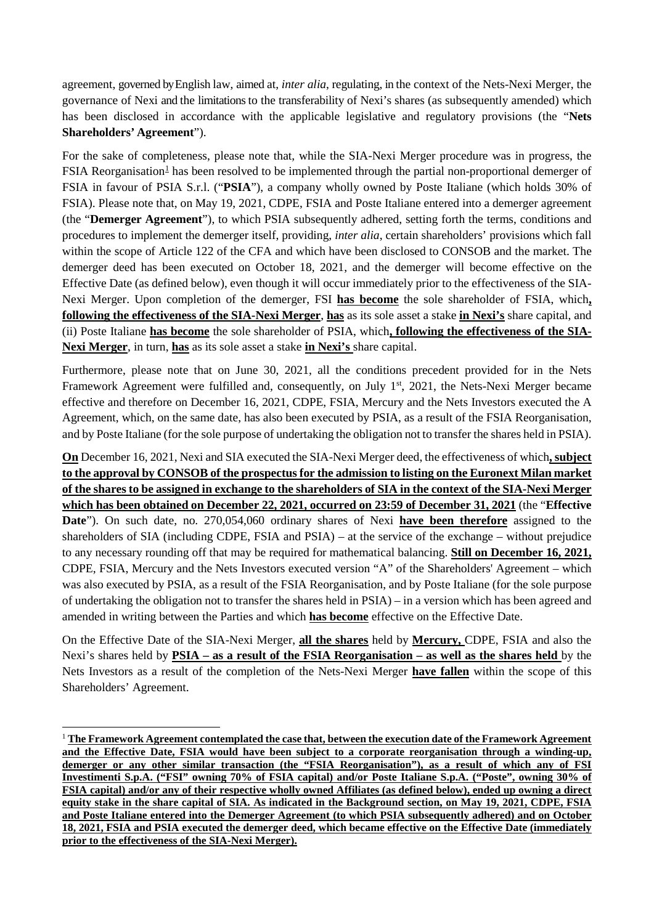agreement, governed by English law, aimed at, *inter alia*, regulating, in the context of the Nets-Nexi Merger, the governance of Nexi and the limitationsto the transferability of Nexi's shares (as subsequently amended) which has been disclosed in accordance with the applicable legislative and regulatory provisions (the "**Nets Shareholders' Agreement**").

For the sake of completeness, please note that, while the SIA-Nexi Merger procedure was in progress, the  $FSIA$  Reorganisation<sup>1</sup> has been resolved to be implemented through the partial non-proportional demerger of FSIA in favour of PSIA S.r.l. ("**PSIA**"), a company wholly owned by Poste Italiane (which holds 30% of FSIA). Please note that, on May 19, 2021, CDPE, FSIA and Poste Italiane entered into a demerger agreement (the "**Demerger Agreement**"), to which PSIA subsequently adhered, setting forth the terms, conditions and procedures to implement the demerger itself, providing, *inter alia*, certain shareholders' provisions which fall within the scope of Article 122 of the CFA and which have been disclosed to CONSOB and the market. The demerger deed has been executed on October 18, 2021, and the demerger will become effective on the Effective Date (as defined below), even though it will occur immediately prior to the effectiveness of the SIA-Nexi Merger. Upon completion of the demerger, FSI **has become** the sole shareholder of FSIA, which**, following the effectiveness of the SIA-Nexi Merger**, **has** as its sole asset a stake **in Nexi's** share capital, and (ii) Poste Italiane **has become** the sole shareholder of PSIA, which**, following the effectiveness of the SIA-Nexi Merger**, in turn, **has** as its sole asset a stake **in Nexi's** share capital.

Furthermore, please note that on June 30, 2021, all the conditions precedent provided for in the Nets Framework Agreement were fulfilled and, consequently, on July 1<sup>st</sup>, 2021, the Nets-Nexi Merger became effective and therefore on December 16, 2021, CDPE, FSIA, Mercury and the Nets Investors executed the A Agreement, which, on the same date, has also been executed by PSIA, as a result of the FSIA Reorganisation, and by Poste Italiane (for the sole purpose of undertaking the obligation not to transfer the shares held in PSIA).

**On** December 16, 2021, Nexi and SIA executed the SIA-Nexi Merger deed, the effectiveness of which**, subject to the approval by CONSOB of the prospectus for the admission to listing on the Euronext Milan market of the shares to be assigned in exchange to the shareholders of SIA in the context of the SIA-Nexi Merger which has been obtained on December 22, 2021, occurred on 23:59 of December 31, 2021** (the "**Effective Date**"). On such date, no. 270,054,060 ordinary shares of Nexi **have been therefore** assigned to the shareholders of SIA (including CDPE, FSIA and PSIA) – at the service of the exchange – without prejudice to any necessary rounding off that may be required for mathematical balancing. **Still on December 16, 2021,** CDPE, FSIA, Mercury and the Nets Investors executed version "A" of the Shareholders' Agreement – which was also executed by PSIA, as a result of the FSIA Reorganisation, and by Poste Italiane (for the sole purpose of undertaking the obligation not to transfer the shares held in PSIA) – in a version which has been agreed and amended in writing between the Parties and which **has become** effective on the Effective Date.

On the Effective Date of the SIA-Nexi Merger, **all the shares** held by **Mercury,** CDPE, FSIA and also the Nexi's shares held by **PSIA – as a result of the FSIA Reorganisation – as well as the shares held** by the Nets Investors as a result of the completion of the Nets-Nexi Merger **have fallen** within the scope of this Shareholders' Agreement.

<span id="page-1-0"></span> <sup>1</sup> **The Framework Agreement contemplated the case that, between the execution date of the Framework Agreement and the Effective Date, FSIA would have been subject to a corporate reorganisation through a winding-up, demerger or any other similar transaction (the "FSIA Reorganisation"), as a result of which any of FSI Investimenti S.p.A. ("FSI" owning 70% of FSIA capital) and/or Poste Italiane S.p.A. ("Poste", owning 30% of FSIA capital) and/or any of their respective wholly owned Affiliates (as defined below), ended up owning a direct equity stake in the share capital of SIA. As indicated in the Background section, on May 19, 2021, CDPE, FSIA and Poste Italiane entered into the Demerger Agreement (to which PSIA subsequently adhered) and on October 18, 2021, FSIA and PSIA executed the demerger deed, which became effective on the Effective Date (immediately prior to the effectiveness of the SIA-Nexi Merger).**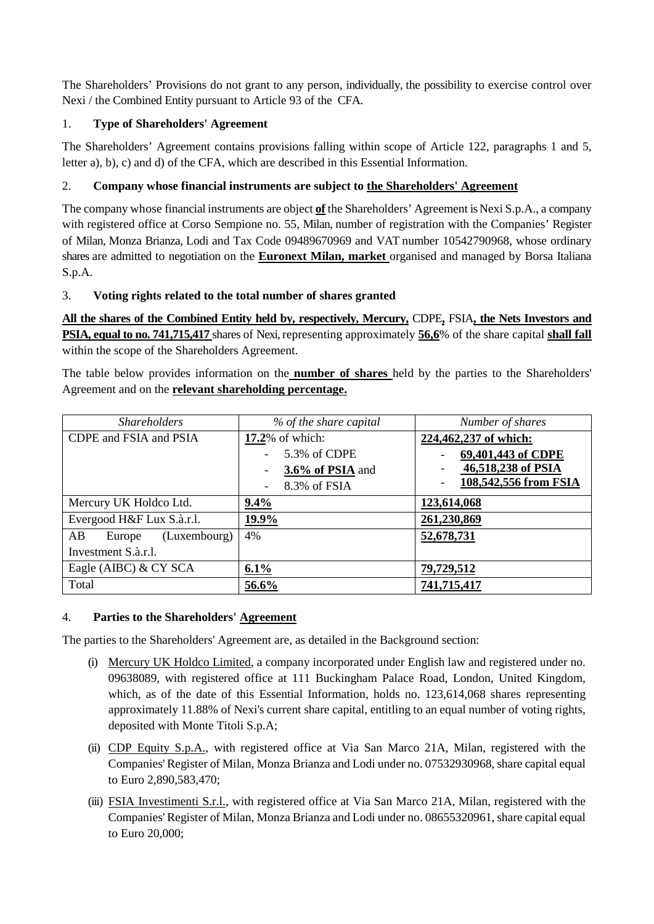The Shareholders' Provisions do not grant to any person, individually, the possibility to exercise control over Nexi / the Combined Entity pursuant to Article 93 of the CFA.

# 1. **Type of Shareholders' Agreement**

The Shareholders' Agreement contains provisions falling within scope of Article 122, paragraphs 1 and 5, letter a), b), c) and d) of the CFA, which are described in this Essential Information.

## 2. **Company whose financial instruments are subject to the Shareholders' Agreement**

The company whose financial instruments are object **of** the Shareholders' Agreement is Nexi S.p.A., a company with registered office at Corso Sempione no. 55, Milan, number of registration with the Companies' Register of Milan, Monza Brianza, Lodi and Tax Code 09489670969 and VAT number 10542790968, whose ordinary shares are admitted to negotiation on the **Euronext Milan, market** organised and managed by Borsa Italiana S.p.A.

## 3. **Voting rights related to the total number of shares granted**

**All the shares of the Combined Entity held by, respectively, Mercury,** CDPE**,** FSIA**, the Nets Investors and PSIA, equal to no. 741,715,417** shares of Nexi, representing approximately **56,6**% of the share capital **shall fall** within the scope of the Shareholders Agreement.

The table below provides information on the **number of shares** held by the parties to the Shareholders' Agreement and on the **relevant shareholding percentage.** 

| <b>Shareholders</b>          | % of the share capital | Number of shares      |
|------------------------------|------------------------|-----------------------|
| CDPE and FSIA and PSIA       | 17.2% of which:        | 224,462,237 of which: |
|                              | 5.3% of CDPE           | 69,401,443 of CDPE    |
|                              | 3.6% of PSIA and       | 46,518,238 of PSIA    |
|                              | 8.3% of FSIA           | 108,542,556 from FSIA |
| Mercury UK Holdco Ltd.       | $9.4\%$                | 123,614,068           |
| Evergood H&F Lux S.à.r.l.    | 19.9%                  | 261,230,869           |
| AB<br>(Luxembourg)<br>Europe | 4%                     | 52,678,731            |
| Investment S.à.r.l.          |                        |                       |
| Eagle (AIBC) & CY SCA        | 6.1%                   | 79,729,512            |
| Total                        | 56.6%                  | 741,715,417           |

## 4. **Parties to the Shareholders' Agreement**

The parties to the Shareholders' Agreement are, as detailed in the Background section:

- (i) Mercury UK Holdco Limited, a company incorporated under English law and registered under no. 09638089, with registered office at 111 Buckingham Palace Road, London, United Kingdom, which, as of the date of this Essential Information, holds no. 123,614,068 shares representing approximately 11.88% of Nexi's current share capital, entitling to an equal number of voting rights, deposited with Monte Titoli S.p.A;
- (ii) CDP Equity S.p.A., with registered office at Via San Marco 21A, Milan, registered with the Companies' Register of Milan, Monza Brianza and Lodi under no. 07532930968, share capital equal to Euro 2,890,583,470;
- (iii) FSIA Investimenti S.r.l., with registered office at Via San Marco 21A, Milan, registered with the Companies' Register of Milan, Monza Brianza and Lodi under no. 08655320961, share capital equal to Euro 20,000;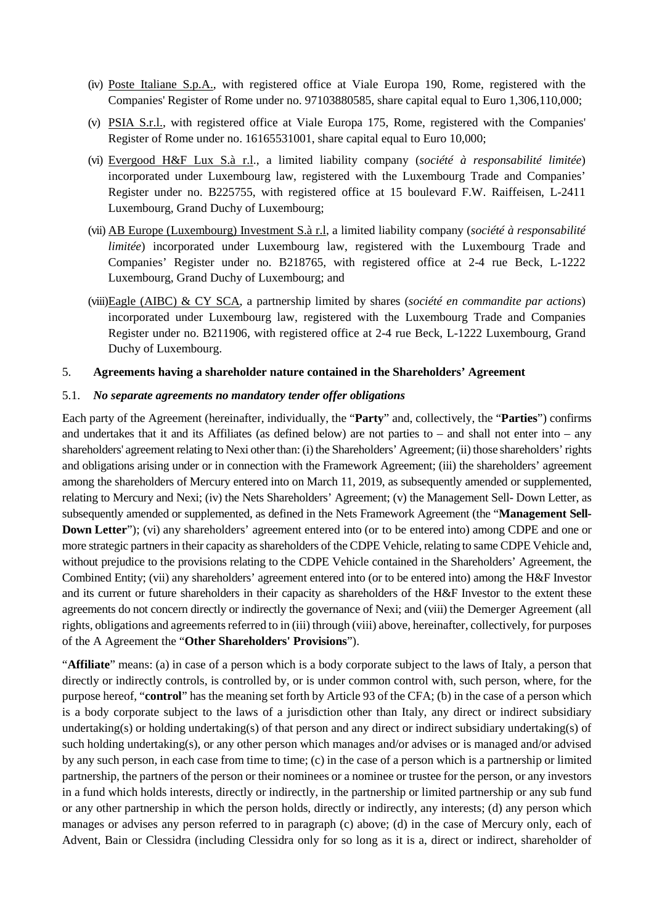- (iv) Poste Italiane S.p.A., with registered office at Viale Europa 190, Rome, registered with the Companies' Register of Rome under no. 97103880585, share capital equal to Euro 1,306,110,000;
- (v) PSIA S.r.l., with registered office at Viale Europa 175, Rome, registered with the Companies' Register of Rome under no. 16165531001, share capital equal to Euro 10,000;
- (vi) Evergood H&F Lux S.à r.l., a limited liability company (*société à responsabilité limitée*) incorporated under Luxembourg law, registered with the Luxembourg Trade and Companies' Register under no. B225755, with registered office at 15 boulevard F.W. Raiffeisen, L-2411 Luxembourg, Grand Duchy of Luxembourg;
- (vii) AB Europe (Luxembourg) Investment S.à r.l, a limited liability company (*société à responsabilité limitée*) incorporated under Luxembourg law, registered with the Luxembourg Trade and Companies' Register under no. B218765, with registered office at 2-4 rue Beck, L-1222 Luxembourg, Grand Duchy of Luxembourg; and
- (viii)Eagle (AIBC) & CY SCA, a partnership limited by shares (*société en commandite par actions*) incorporated under Luxembourg law, registered with the Luxembourg Trade and Companies Register under no. B211906, with registered office at 2-4 rue Beck, L-1222 Luxembourg, Grand Duchy of Luxembourg.

#### 5. **Agreements having a shareholder nature contained in the Shareholders' Agreement**

#### 5.1. *No separate agreements no mandatory tender offer obligations*

Each party of the Agreement (hereinafter, individually, the "**Party**" and, collectively, the "**Parties**") confirms and undertakes that it and its Affiliates (as defined below) are not parties to – and shall not enter into – any shareholders' agreement relating to Nexi other than: (i) the Shareholders' Agreement; (ii) those shareholders' rights and obligations arising under or in connection with the Framework Agreement; (iii) the shareholders' agreement among the shareholders of Mercury entered into on March 11, 2019, as subsequently amended or supplemented, relating to Mercury and Nexi; (iv) the Nets Shareholders' Agreement; (v) the Management Sell- Down Letter, as subsequently amended or supplemented, as defined in the Nets Framework Agreement (the "**Management Sell-Down Letter**"); (vi) any shareholders' agreement entered into (or to be entered into) among CDPE and one or more strategic partners in their capacity as shareholders of the CDPE Vehicle, relating to same CDPE Vehicle and, without prejudice to the provisions relating to the CDPE Vehicle contained in the Shareholders' Agreement, the Combined Entity; (vii) any shareholders' agreement entered into (or to be entered into) among the H&F Investor and its current or future shareholders in their capacity as shareholders of the H&F Investor to the extent these agreements do not concern directly or indirectly the governance of Nexi; and (viii) the Demerger Agreement (all rights, obligations and agreements referred to in (iii) through (viii) above, hereinafter, collectively, for purposes of the A Agreement the "**Other Shareholders' Provisions**").

"**Affiliate**" means: (a) in case of a person which is a body corporate subject to the laws of Italy, a person that directly or indirectly controls, is controlled by, or is under common control with, such person, where, for the purpose hereof, "**control**" has the meaning set forth by Article 93 of the CFA; (b) in the case of a person which is a body corporate subject to the laws of a jurisdiction other than Italy, any direct or indirect subsidiary undertaking(s) or holding undertaking(s) of that person and any direct or indirect subsidiary undertaking(s) of such holding undertaking(s), or any other person which manages and/or advises or is managed and/or advised by any such person, in each case from time to time; (c) in the case of a person which is a partnership or limited partnership, the partners of the person or their nominees or a nominee or trustee for the person, or any investors in a fund which holds interests, directly or indirectly, in the partnership or limited partnership or any sub fund or any other partnership in which the person holds, directly or indirectly, any interests; (d) any person which manages or advises any person referred to in paragraph (c) above; (d) in the case of Mercury only, each of Advent, Bain or Clessidra (including Clessidra only for so long as it is a, direct or indirect, shareholder of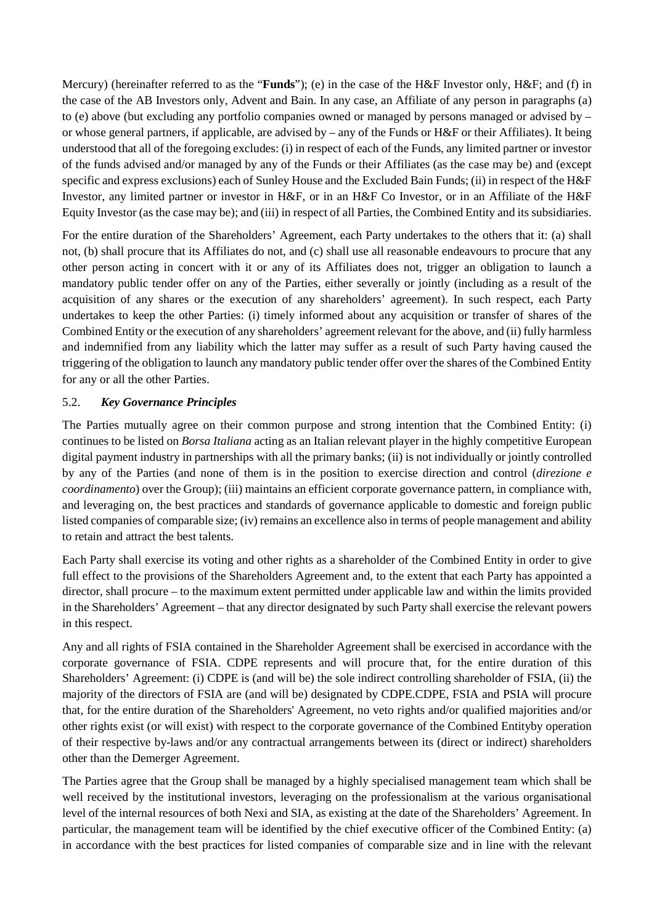Mercury) (hereinafter referred to as the "**Funds**"); (e) in the case of the H&F Investor only, H&F; and (f) in the case of the AB Investors only, Advent and Bain. In any case, an Affiliate of any person in paragraphs (a) to (e) above (but excluding any portfolio companies owned or managed by persons managed or advised by – or whose general partners, if applicable, are advised by – any of the Funds or H&F or their Affiliates). It being understood that all of the foregoing excludes: (i) in respect of each of the Funds, any limited partner or investor of the funds advised and/or managed by any of the Funds or their Affiliates (as the case may be) and (except specific and express exclusions) each of Sunley House and the Excluded Bain Funds; (ii) in respect of the H&F Investor, any limited partner or investor in H&F, or in an H&F Co Investor, or in an Affiliate of the H&F Equity Investor (as the case may be); and (iii) in respect of all Parties, the Combined Entity and its subsidiaries.

For the entire duration of the Shareholders' Agreement, each Party undertakes to the others that it: (a) shall not, (b) shall procure that its Affiliates do not, and (c) shall use all reasonable endeavours to procure that any other person acting in concert with it or any of its Affiliates does not, trigger an obligation to launch a mandatory public tender offer on any of the Parties, either severally or jointly (including as a result of the acquisition of any shares or the execution of any shareholders' agreement). In such respect, each Party undertakes to keep the other Parties: (i) timely informed about any acquisition or transfer of shares of the Combined Entity or the execution of any shareholders' agreement relevant for the above, and (ii) fully harmless and indemnified from any liability which the latter may suffer as a result of such Party having caused the triggering of the obligation to launch any mandatory public tender offer over the shares of the Combined Entity for any or all the other Parties.

## 5.2. *Key Governance Principles*

The Parties mutually agree on their common purpose and strong intention that the Combined Entity: (i) continues to be listed on *Borsa Italiana* acting as an Italian relevant player in the highly competitive European digital payment industry in partnerships with all the primary banks; (ii) is not individually or jointly controlled by any of the Parties (and none of them is in the position to exercise direction and control (*direzione e coordinamento*) over the Group); (iii) maintains an efficient corporate governance pattern, in compliance with, and leveraging on, the best practices and standards of governance applicable to domestic and foreign public listed companies of comparable size; (iv) remains an excellence also in terms of people management and ability to retain and attract the best talents.

Each Party shall exercise its voting and other rights as a shareholder of the Combined Entity in order to give full effect to the provisions of the Shareholders Agreement and, to the extent that each Party has appointed a director, shall procure – to the maximum extent permitted under applicable law and within the limits provided in the Shareholders' Agreement – that any director designated by such Party shall exercise the relevant powers in this respect.

Any and all rights of FSIA contained in the Shareholder Agreement shall be exercised in accordance with the corporate governance of FSIA. CDPE represents and will procure that, for the entire duration of this Shareholders' Agreement: (i) CDPE is (and will be) the sole indirect controlling shareholder of FSIA, (ii) the majority of the directors of FSIA are (and will be) designated by CDPE.CDPE, FSIA and PSIA will procure that, for the entire duration of the Shareholders' Agreement, no veto rights and/or qualified majorities and/or other rights exist (or will exist) with respect to the corporate governance of the Combined Entityby operation of their respective by-laws and/or any contractual arrangements between its (direct or indirect) shareholders other than the Demerger Agreement.

The Parties agree that the Group shall be managed by a highly specialised management team which shall be well received by the institutional investors, leveraging on the professionalism at the various organisational level of the internal resources of both Nexi and SIA, as existing at the date of the Shareholders' Agreement. In particular, the management team will be identified by the chief executive officer of the Combined Entity: (a) in accordance with the best practices for listed companies of comparable size and in line with the relevant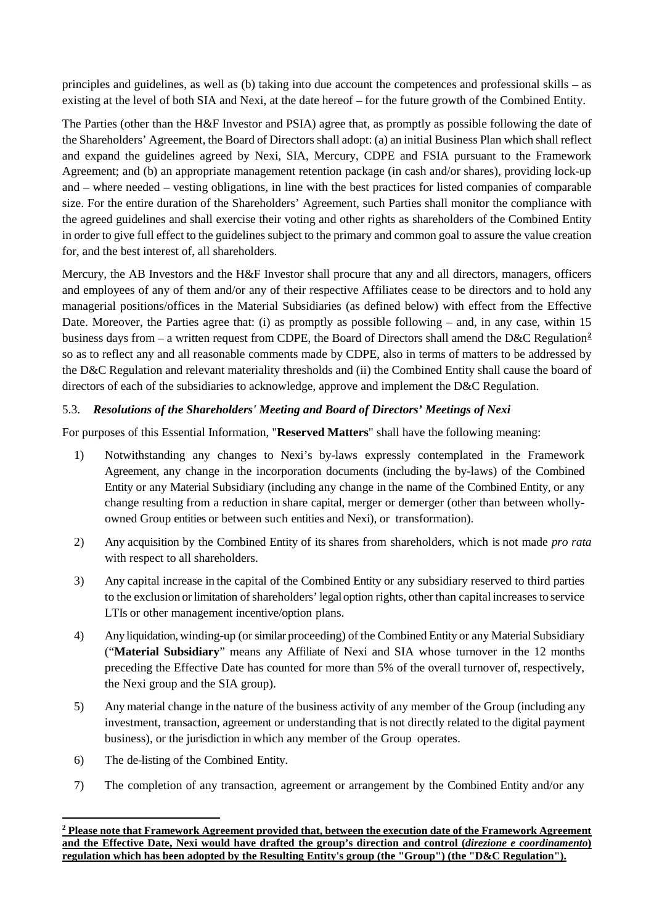principles and guidelines, as well as (b) taking into due account the competences and professional skills – as existing at the level of both SIA and Nexi, at the date hereof – for the future growth of the Combined Entity.

The Parties (other than the H&F Investor and PSIA) agree that, as promptly as possible following the date of the Shareholders' Agreement, the Board of Directors shall adopt: (a) an initial Business Plan which shall reflect and expand the guidelines agreed by Nexi, SIA, Mercury, CDPE and FSIA pursuant to the Framework Agreement; and (b) an appropriate management retention package (in cash and/or shares), providing lock-up and – where needed – vesting obligations, in line with the best practices for listed companies of comparable size. For the entire duration of the Shareholders' Agreement, such Parties shall monitor the compliance with the agreed guidelines and shall exercise their voting and other rights as shareholders of the Combined Entity in order to give full effect to the guidelines subject to the primary and common goal to assure the value creation for, and the best interest of, all shareholders.

Mercury, the AB Investors and the H&F Investor shall procure that any and all directors, managers, officers and employees of any of them and/or any of their respective Affiliates cease to be directors and to hold any managerial positions/offices in the Material Subsidiaries (as defined below) with effect from the Effective Date. Moreover, the Parties agree that: (i) as promptly as possible following – and, in any case, within 15 business days from – a written request from CDPE, the Board of Directors shall amend the D&C Regulation**[2](#page-5-0)** so as to reflect any and all reasonable comments made by CDPE, also in terms of matters to be addressed by the D&C Regulation and relevant materiality thresholds and (ii) the Combined Entity shall cause the board of directors of each of the subsidiaries to acknowledge, approve and implement the D&C Regulation.

## 5.3. *Resolutions of the Shareholders' Meeting and Board of Directors' Meetings of Nexi*

For purposes of this Essential Information, "**Reserved Matters**" shall have the following meaning:

- 1) Notwithstanding any changes to Nexi's by-laws expressly contemplated in the Framework Agreement, any change in the incorporation documents (including the by-laws) of the Combined Entity or any Material Subsidiary (including any change in the name of the Combined Entity, or any change resulting from a reduction in share capital, merger or demerger (other than between whollyowned Group entities or between such entities and Nexi), or transformation).
- 2) Any acquisition by the Combined Entity of its shares from shareholders, which is not made *pro rata*  with respect to all shareholders.
- 3) Any capital increase in the capital of the Combined Entity or any subsidiary reserved to third parties to the exclusion or limitation of shareholders' legal option rights, other than capital increases to service LTIs or other management incentive/option plans.
- 4) Any liquidation, winding-up (or similar proceeding) of the Combined Entity or any Material Subsidiary ("**Material Subsidiary**" means any Affiliate of Nexi and SIA whose turnover in the 12 months preceding the Effective Date has counted for more than 5% of the overall turnover of, respectively, the Nexi group and the SIA group).
- 5) Any material change in the nature of the business activity of any member of the Group (including any investment, transaction, agreement or understanding that is not directly related to the digital payment business), or the jurisdiction in which any member of the Group operates.
- 6) The de-listing of the Combined Entity.

-

7) The completion of any transaction, agreement or arrangement by the Combined Entity and/or any

<span id="page-5-0"></span>**<sup>2</sup> Please note that Framework Agreement provided that, between the execution date of the Framework Agreement and the Effective Date, Nexi would have drafted the group's direction and control (***direzione e coordinamento***) regulation which has been adopted by the Resulting Entity's group (the "Group") (the "D&C Regulation").**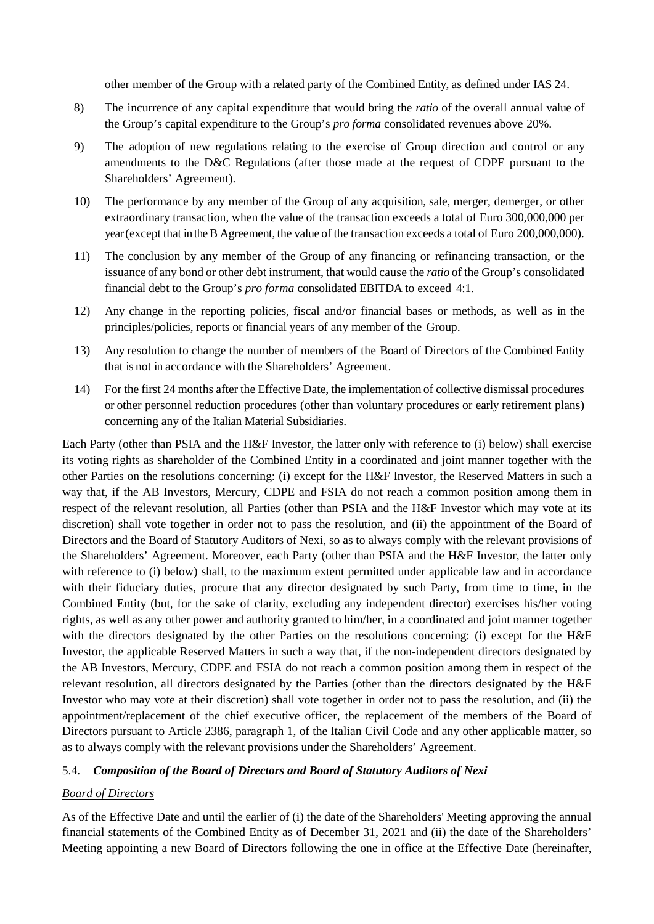other member of the Group with a related party of the Combined Entity, as defined under IAS 24.

- 8) The incurrence of any capital expenditure that would bring the *ratio* of the overall annual value of the Group's capital expenditure to the Group's *pro forma* consolidated revenues above 20%.
- 9) The adoption of new regulations relating to the exercise of Group direction and control or any amendments to the D&C Regulations (after those made at the request of CDPE pursuant to the Shareholders' Agreement).
- 10) The performance by any member of the Group of any acquisition, sale, merger, demerger, or other extraordinary transaction, when the value of the transaction exceeds a total of Euro 300,000,000 per year (except that intheB Agreement, the value of the transaction exceeds a total of Euro 200,000,000).
- 11) The conclusion by any member of the Group of any financing or refinancing transaction, or the issuance of any bond or other debt instrument, that would cause the *ratio* of the Group's consolidated financial debt to the Group's *pro forma* consolidated EBITDA to exceed 4:1.
- 12) Any change in the reporting policies, fiscal and/or financial bases or methods, as well as in the principles/policies, reports or financial years of any member of the Group.
- 13) Any resolution to change the number of members of the Board of Directors of the Combined Entity that is not in accordance with the Shareholders' Agreement.
- 14) For the first 24 months after the Effective Date, the implementation of collective dismissal procedures or other personnel reduction procedures (other than voluntary procedures or early retirement plans) concerning any of the Italian Material Subsidiaries.

Each Party (other than PSIA and the H&F Investor, the latter only with reference to (i) below) shall exercise its voting rights as shareholder of the Combined Entity in a coordinated and joint manner together with the other Parties on the resolutions concerning: (i) except for the H&F Investor, the Reserved Matters in such a way that, if the AB Investors, Mercury, CDPE and FSIA do not reach a common position among them in respect of the relevant resolution, all Parties (other than PSIA and the H&F Investor which may vote at its discretion) shall vote together in order not to pass the resolution, and (ii) the appointment of the Board of Directors and the Board of Statutory Auditors of Nexi, so as to always comply with the relevant provisions of the Shareholders' Agreement. Moreover, each Party (other than PSIA and the H&F Investor, the latter only with reference to (i) below) shall, to the maximum extent permitted under applicable law and in accordance with their fiduciary duties, procure that any director designated by such Party, from time to time, in the Combined Entity (but, for the sake of clarity, excluding any independent director) exercises his/her voting rights, as well as any other power and authority granted to him/her, in a coordinated and joint manner together with the directors designated by the other Parties on the resolutions concerning: (i) except for the H&F Investor, the applicable Reserved Matters in such a way that, if the non-independent directors designated by the AB Investors, Mercury, CDPE and FSIA do not reach a common position among them in respect of the relevant resolution, all directors designated by the Parties (other than the directors designated by the H&F Investor who may vote at their discretion) shall vote together in order not to pass the resolution, and (ii) the appointment/replacement of the chief executive officer, the replacement of the members of the Board of Directors pursuant to Article 2386, paragraph 1, of the Italian Civil Code and any other applicable matter, so as to always comply with the relevant provisions under the Shareholders' Agreement.

## 5.4. *Composition of the Board of Directors and Board of Statutory Auditors of Nexi*

## *Board of Directors*

As of the Effective Date and until the earlier of (i) the date of the Shareholders' Meeting approving the annual financial statements of the Combined Entity as of December 31, 2021 and (ii) the date of the Shareholders' Meeting appointing a new Board of Directors following the one in office at the Effective Date (hereinafter,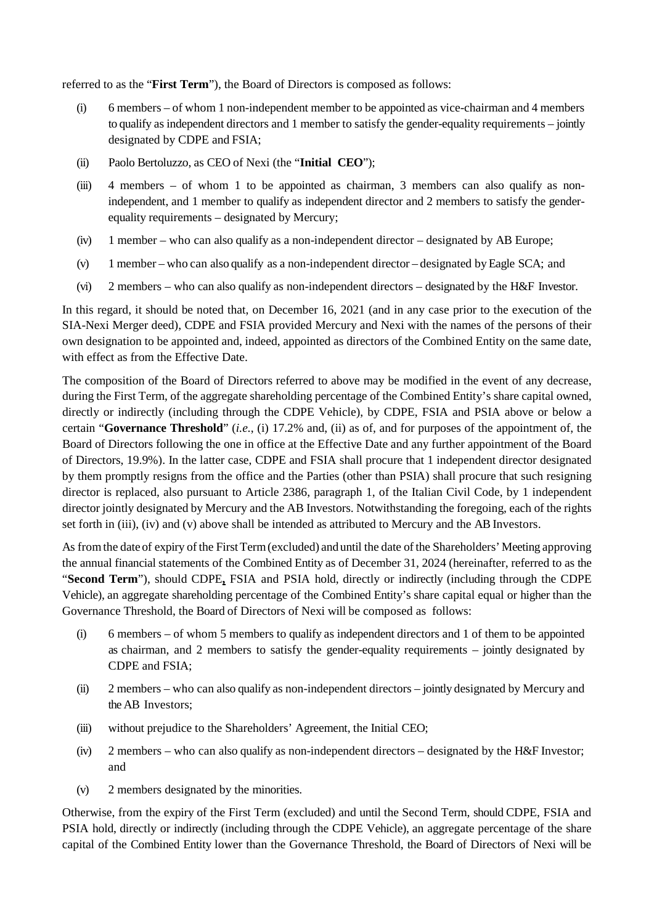referred to as the "**First Term**"), the Board of Directors is composed as follows:

- (i) 6 members of whom 1 non-independent member to be appointed as vice-chairman and 4 members to qualify as independent directors and 1 member to satisfy the gender-equality requirements – jointly designated by CDPE and FSIA;
- (ii) Paolo Bertoluzzo, as CEO of Nexi (the "**Initial CEO**");
- (iii) 4 members of whom 1 to be appointed as chairman, 3 members can also qualify as nonindependent, and 1 member to qualify as independent director and 2 members to satisfy the genderequality requirements – designated by Mercury;
- (iv) 1 member who can also qualify as a non-independent director designated by AB Europe;
- (v) 1 member who can also qualify as a non-independent director designated byEagle SCA; and
- (vi) 2 members who can also qualify as non-independent directors designated by the H&F Investor.

In this regard, it should be noted that, on December 16, 2021 (and in any case prior to the execution of the SIA-Nexi Merger deed), CDPE and FSIA provided Mercury and Nexi with the names of the persons of their own designation to be appointed and, indeed, appointed as directors of the Combined Entity on the same date, with effect as from the Effective Date.

The composition of the Board of Directors referred to above may be modified in the event of any decrease, during the First Term, of the aggregate shareholding percentage of the Combined Entity's share capital owned, directly or indirectly (including through the CDPE Vehicle), by CDPE, FSIA and PSIA above or below a certain "**Governance Threshold**" (*i.e.*, (i) 17.2% and, (ii) as of, and for purposes of the appointment of, the Board of Directors following the one in office at the Effective Date and any further appointment of the Board of Directors, 19.9%). In the latter case, CDPE and FSIA shall procure that 1 independent director designated by them promptly resigns from the office and the Parties (other than PSIA) shall procure that such resigning director is replaced, also pursuant to Article 2386, paragraph 1, of the Italian Civil Code, by 1 independent director jointly designated by Mercury and the AB Investors. Notwithstanding the foregoing, each of the rights set forth in (iii), (iv) and (v) above shall be intended as attributed to Mercury and the AB Investors.

As from the date of expiry of the First Term (excluded) and until the date of the Shareholders' Meeting approving the annual financial statements of the Combined Entity as of December 31, 2024 (hereinafter, referred to as the "**Second Term**"), should CDPE**,** FSIA and PSIA hold, directly or indirectly (including through the CDPE Vehicle), an aggregate shareholding percentage of the Combined Entity's share capital equal or higher than the Governance Threshold, the Board of Directors of Nexi will be composed as follows:

- (i) 6 members of whom 5 members to qualify as independent directors and 1 of them to be appointed as chairman, and 2 members to satisfy the gender-equality requirements – jointly designated by CDPE and FSIA;
- (ii) 2 members who can also qualify as non-independent directors jointly designated by Mercury and the AB Investors;
- (iii) without prejudice to the Shareholders' Agreement, the Initial CEO;
- (iv) 2 members who can also qualify as non-independent directors designated by the H&F Investor; and
- (v) 2 members designated by the minorities.

Otherwise, from the expiry of the First Term (excluded) and until the Second Term, should CDPE, FSIA and PSIA hold, directly or indirectly (including through the CDPE Vehicle), an aggregate percentage of the share capital of the Combined Entity lower than the Governance Threshold, the Board of Directors of Nexi will be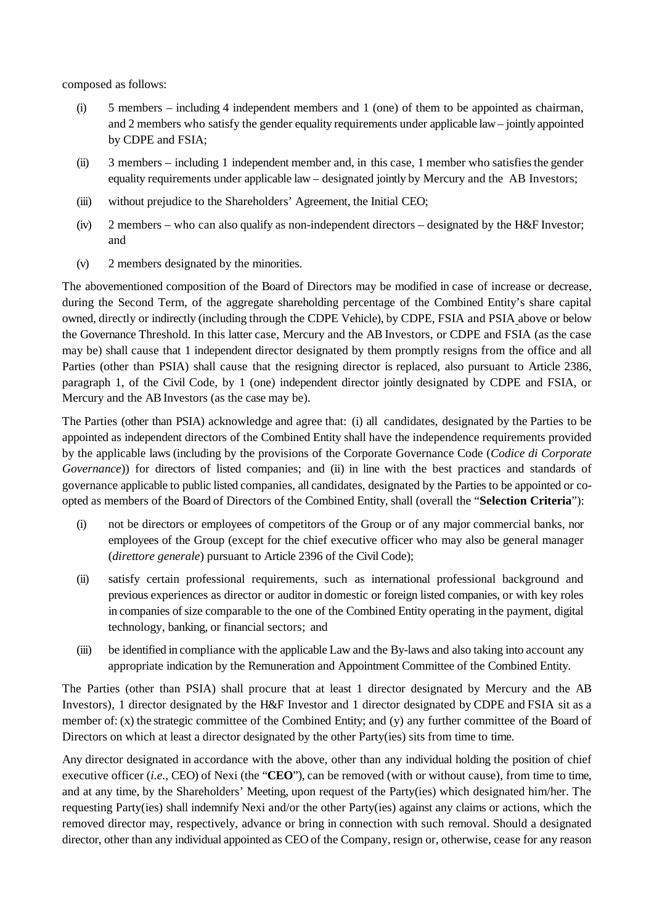composed as follows:

- (i) 5 members including 4 independent members and 1 (one) of them to be appointed as chairman, and 2 members who satisfy the gender equality requirements under applicable law – jointly appointed by CDPE and FSIA;
- (ii) 3 members including 1 independent member and, in this case, 1 member who satisfiesthe gender equality requirements under applicable law – designated jointly by Mercury and the AB Investors;
- (iii) without prejudice to the Shareholders' Agreement, the Initial CEO;
- (iv)  $2$  members who can also qualify as non-independent directors designated by the H&F Investor; and
- (v) 2 members designated by the minorities.

The abovementioned composition of the Board of Directors may be modified in case of increase or decrease, during the Second Term, of the aggregate shareholding percentage of the Combined Entity's share capital owned, directly or indirectly (including through the CDPE Vehicle), by CDPE, FSIA and PSIA above or below the Governance Threshold. In this latter case, Mercury and the AB Investors, or CDPE and FSIA (as the case may be) shall cause that 1 independent director designated by them promptly resigns from the office and all Parties (other than PSIA) shall cause that the resigning director is replaced, also pursuant to Article 2386, paragraph 1, of the Civil Code, by 1 (one) independent director jointly designated by CDPE and FSIA, or Mercury and the AB Investors (as the case may be).

The Parties (other than PSIA) acknowledge and agree that: (i) all candidates, designated by the Parties to be appointed as independent directors of the Combined Entity shall have the independence requirements provided by the applicable laws (including by the provisions of the Corporate Governance Code (*Codice di Corporate Governance*)) for directors of listed companies; and (ii) in line with the best practices and standards of governance applicable to public listed companies, all candidates, designated by the Parties to be appointed or coopted as members of the Board of Directors of the Combined Entity, shall (overall the "**Selection Criteria**"):

- (i) not be directors or employees of competitors of the Group or of any major commercial banks, nor employees of the Group (except for the chief executive officer who may also be general manager (*direttore generale*) pursuant to Article 2396 of the Civil Code);
- (ii) satisfy certain professional requirements, such as international professional background and previous experiences as director or auditor in domestic or foreign listed companies, or with key roles in companies of size comparable to the one of the Combined Entity operating in the payment, digital technology, banking, or financial sectors; and
- (iii) be identified in compliance with the applicable Law and the By-laws and also taking into account any appropriate indication by the Remuneration and Appointment Committee of the Combined Entity.

The Parties (other than PSIA) shall procure that at least 1 director designated by Mercury and the AB Investors), 1 director designated by the H&F Investor and 1 director designated by CDPE and FSIA sit as a member of: (x) the strategic committee of the Combined Entity; and (y) any further committee of the Board of Directors on which at least a director designated by the other Party(ies) sits from time to time.

Any director designated in accordance with the above, other than any individual holding the position of chief executive officer (*i.e.,* CEO) of Nexi (the "**CEO**"), can be removed (with or without cause), from time to time, and at any time, by the Shareholders' Meeting, upon request of the Party(ies) which designated him/her. The requesting Party(ies) shall indemnify Nexi and/or the other Party(ies) against any claims or actions, which the removed director may, respectively, advance or bring in connection with such removal. Should a designated director, other than any individual appointed as CEO of the Company, resign or, otherwise, cease for any reason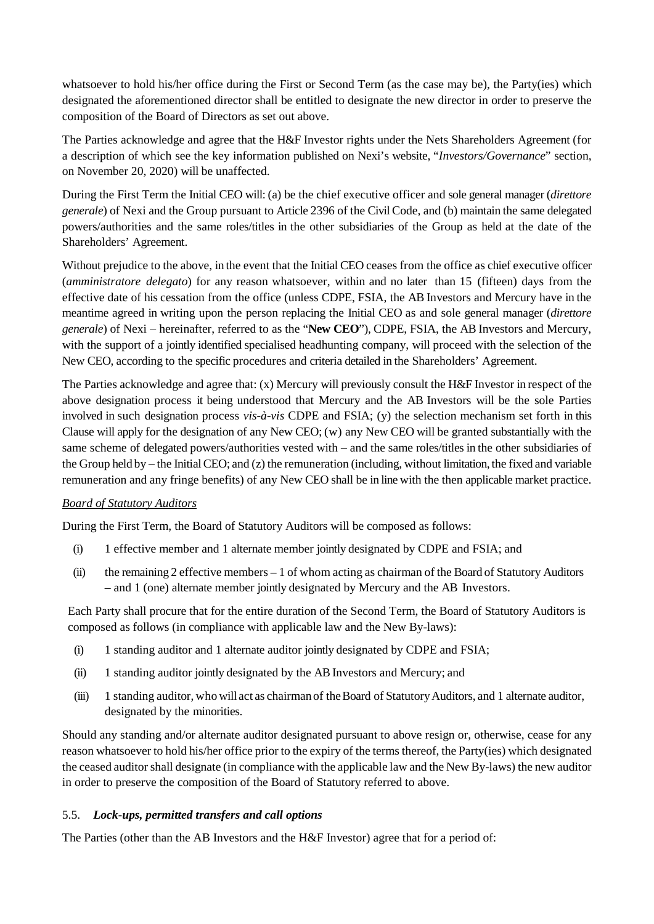whatsoever to hold his/her office during the First or Second Term (as the case may be), the Party(ies) which designated the aforementioned director shall be entitled to designate the new director in order to preserve the composition of the Board of Directors as set out above.

The Parties acknowledge and agree that the H&F Investor rights under the Nets Shareholders Agreement (for a description of which see the key information published on Nexi's website, "*Investors/Governance*" section, on November 20, 2020) will be unaffected.

During the First Term the Initial CEO will: (a) be the chief executive officer and sole general manager (*direttore generale*) of Nexi and the Group pursuant to Article 2396 of the Civil Code, and (b) maintain the same delegated powers/authorities and the same roles/titles in the other subsidiaries of the Group as held at the date of the Shareholders' Agreement.

Without prejudice to the above, in the event that the Initial CEO ceases from the office as chief executive officer (*amministratore delegato*) for any reason whatsoever, within and no later than 15 (fifteen) days from the effective date of his cessation from the office (unless CDPE, FSIA, the AB Investors and Mercury have in the meantime agreed in writing upon the person replacing the Initial CEO as and sole general manager (*direttore generale*) of Nexi – hereinafter, referred to as the "**New CEO**"), CDPE, FSIA, the AB Investors and Mercury, with the support of a jointly identified specialised headhunting company, will proceed with the selection of the New CEO, according to the specific procedures and criteria detailed in the Shareholders' Agreement.

The Parties acknowledge and agree that: (x) Mercury will previously consult the H&F Investor in respect of the above designation process it being understood that Mercury and the AB Investors will be the sole Parties involved in such designation process *vis-à-vis* CDPE and FSIA; (y) the selection mechanism set forth in this Clause will apply for the designation of any New CEO; (w) any New CEO will be granted substantially with the same scheme of delegated powers/authorities vested with – and the same roles/titles in the other subsidiaries of the Group held by – the Initial CEO; and (z) the remuneration (including, without limitation, the fixed and variable remuneration and any fringe benefits) of any New CEO shall be in line with the then applicable market practice.

## *Board of Statutory Auditors*

During the First Term, the Board of Statutory Auditors will be composed as follows:

- (i) 1 effective member and 1 alternate member jointly designated by CDPE and FSIA; and
- (ii) the remaining 2 effective members 1 of whom acting as chairman of the Board of Statutory Auditors – and 1 (one) alternate member jointly designated by Mercury and the AB Investors.

Each Party shall procure that for the entire duration of the Second Term, the Board of Statutory Auditors is composed as follows (in compliance with applicable law and the New By-laws):

- (i) 1 standing auditor and 1 alternate auditor jointly designated by CDPE and FSIA;
- (ii) 1 standing auditor jointly designated by the AB Investors and Mercury; and
- (iii) 1 standing auditor, who will act as chairman of theBoard of StatutoryAuditors, and 1 alternate auditor, designated by the minorities.

Should any standing and/or alternate auditor designated pursuant to above resign or, otherwise, cease for any reason whatsoever to hold his/her office prior to the expiry of the terms thereof, the Party(ies) which designated the ceased auditor shall designate (in compliance with the applicable law and the New By-laws) the new auditor in order to preserve the composition of the Board of Statutory referred to above.

## 5.5. *Lock-ups, permitted transfers and call options*

The Parties (other than the AB Investors and the H&F Investor) agree that for a period of: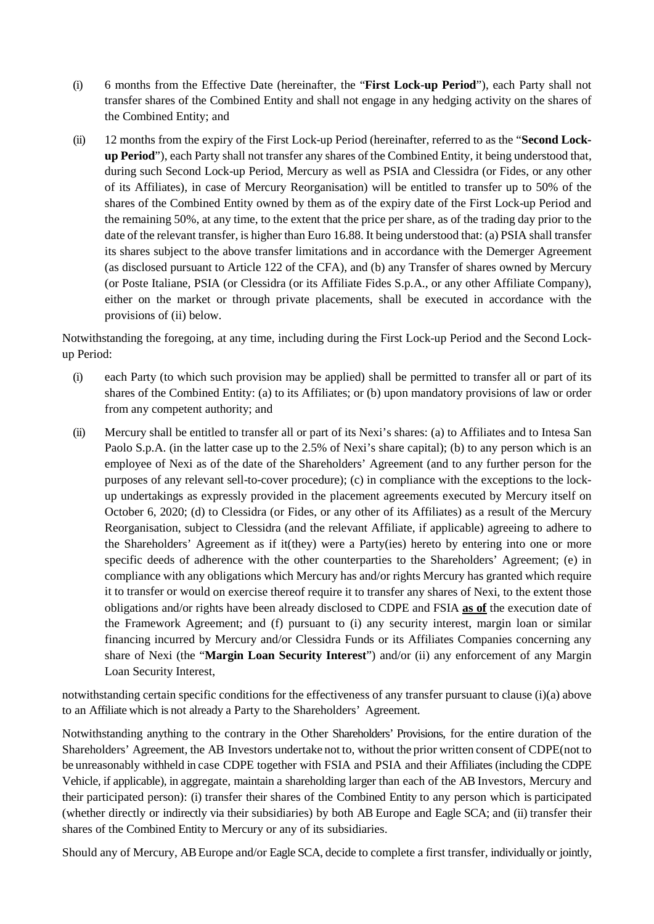- (i) 6 months from the Effective Date (hereinafter, the "**First Lock-up Period**"), each Party shall not transfer shares of the Combined Entity and shall not engage in any hedging activity on the shares of the Combined Entity; and
- (ii) 12 months from the expiry of the First Lock-up Period (hereinafter, referred to as the "**Second Lockup Period**"), each Party shall not transfer any shares of the Combined Entity, it being understood that, during such Second Lock-up Period, Mercury as well as PSIA and Clessidra (or Fides, or any other of its Affiliates), in case of Mercury Reorganisation) will be entitled to transfer up to 50% of the shares of the Combined Entity owned by them as of the expiry date of the First Lock-up Period and the remaining 50%, at any time, to the extent that the price per share, as of the trading day prior to the date of the relevant transfer, is higher than Euro 16.88. It being understood that: (a) PSIA shall transfer its shares subject to the above transfer limitations and in accordance with the Demerger Agreement (as disclosed pursuant to Article 122 of the CFA), and (b) any Transfer of shares owned by Mercury (or Poste Italiane, PSIA (or Clessidra (or its Affiliate Fides S.p.A., or any other Affiliate Company), either on the market or through private placements, shall be executed in accordance with the provisions of (ii) below.

Notwithstanding the foregoing, at any time, including during the First Lock-up Period and the Second Lockup Period:

- (i) each Party (to which such provision may be applied) shall be permitted to transfer all or part of its shares of the Combined Entity: (a) to its Affiliates; or (b) upon mandatory provisions of law or order from any competent authority; and
- (ii) Mercury shall be entitled to transfer all or part of its Nexi's shares: (a) to Affiliates and to Intesa San Paolo S.p.A. (in the latter case up to the 2.5% of Nexi's share capital); (b) to any person which is an employee of Nexi as of the date of the Shareholders' Agreement (and to any further person for the purposes of any relevant sell-to-cover procedure); (c) in compliance with the exceptions to the lockup undertakings as expressly provided in the placement agreements executed by Mercury itself on October 6, 2020; (d) to Clessidra (or Fides, or any other of its Affiliates) as a result of the Mercury Reorganisation, subject to Clessidra (and the relevant Affiliate, if applicable) agreeing to adhere to the Shareholders' Agreement as if it(they) were a Party(ies) hereto by entering into one or more specific deeds of adherence with the other counterparties to the Shareholders' Agreement; (e) in compliance with any obligations which Mercury has and/or rights Mercury has granted which require it to transfer or would on exercise thereof require it to transfer any shares of Nexi, to the extent those obligations and/or rights have been already disclosed to CDPE and FSIA **as of** the execution date of the Framework Agreement; and (f) pursuant to (i) any security interest, margin loan or similar financing incurred by Mercury and/or Clessidra Funds or its Affiliates Companies concerning any share of Nexi (the "**Margin Loan Security Interest**") and/or (ii) any enforcement of any Margin Loan Security Interest,

notwithstanding certain specific conditions for the effectiveness of any transfer pursuant to clause (i)(a) above to an Affiliate which is not already a Party to the Shareholders' Agreement.

Notwithstanding anything to the contrary in the Other Shareholders' Provisions, for the entire duration of the Shareholders' Agreement, the AB Investors undertake not to, without the prior written consent of CDPE(not to be unreasonably withheld in case CDPE together with FSIA and PSIA and their Affiliates (including the CDPE Vehicle, if applicable), in aggregate, maintain a shareholding larger than each of the AB Investors, Mercury and their participated person): (i) transfer their shares of the Combined Entity to any person which is participated (whether directly or indirectly via their subsidiaries) by both AB Europe and Eagle SCA; and (ii) transfer their shares of the Combined Entity to Mercury or any of its subsidiaries.

Should any of Mercury, AB Europe and/or Eagle SCA, decide to complete a first transfer, individually or jointly,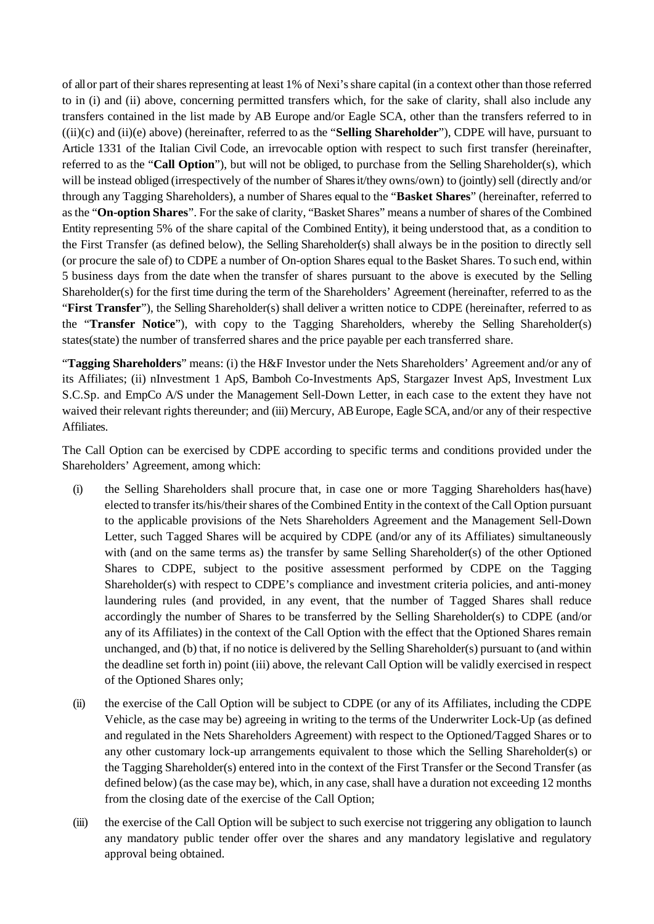of all or part of their shares representing at least 1% of Nexi's share capital (in a context other than those referred to in (i) and (ii) above, concerning permitted transfers which, for the sake of clarity, shall also include any transfers contained in the list made by AB Europe and/or Eagle SCA, other than the transfers referred to in ((ii)(c) and (ii)(e) above) (hereinafter, referred to as the "**Selling Shareholder**"), CDPE will have, pursuant to Article 1331 of the Italian Civil Code, an irrevocable option with respect to such first transfer (hereinafter, referred to as the "**Call Option**"), but will not be obliged, to purchase from the Selling Shareholder(s), which will be instead obliged (irrespectively of the number of Shares it/they owns/own) to (jointly) sell (directly and/or through any Tagging Shareholders), a number of Shares equal to the "**Basket Shares**" (hereinafter, referred to as the "**On-option Shares**". For the sake of clarity, "Basket Shares" means a number of shares of the Combined Entity representing 5% of the share capital of the Combined Entity), it being understood that, as a condition to the First Transfer (as defined below), the Selling Shareholder(s) shall always be in the position to directly sell (or procure the sale of) to CDPE a number of On-option Shares equal to the Basket Shares. To such end, within 5 business days from the date when the transfer of shares pursuant to the above is executed by the Selling Shareholder(s) for the first time during the term of the Shareholders' Agreement (hereinafter, referred to as the "**First Transfer**"), the Selling Shareholder(s) shall deliver a written notice to CDPE (hereinafter, referred to as the "**Transfer Notice**"), with copy to the Tagging Shareholders, whereby the Selling Shareholder(s) states(state) the number of transferred shares and the price payable per each transferred share.

"**Tagging Shareholders**" means: (i) the H&F Investor under the Nets Shareholders' Agreement and/or any of its Affiliates; (ii) nInvestment 1 ApS, Bamboh Co-Investments ApS, Stargazer Invest ApS, Investment Lux S.C.Sp. and EmpCo A/S under the Management Sell-Down Letter, in each case to the extent they have not waived their relevant rights thereunder; and (iii) Mercury, AB Europe, Eagle SCA, and/or any of their respective Affiliates.

The Call Option can be exercised by CDPE according to specific terms and conditions provided under the Shareholders' Agreement, among which:

- (i) the Selling Shareholders shall procure that, in case one or more Tagging Shareholders has(have) elected to transfer its/his/their shares of the Combined Entity in the context of the Call Option pursuant to the applicable provisions of the Nets Shareholders Agreement and the Management Sell-Down Letter, such Tagged Shares will be acquired by CDPE (and/or any of its Affiliates) simultaneously with (and on the same terms as) the transfer by same Selling Shareholder(s) of the other Optioned Shares to CDPE, subject to the positive assessment performed by CDPE on the Tagging Shareholder(s) with respect to CDPE's compliance and investment criteria policies, and anti-money laundering rules (and provided, in any event, that the number of Tagged Shares shall reduce accordingly the number of Shares to be transferred by the Selling Shareholder(s) to CDPE (and/or any of its Affiliates) in the context of the Call Option with the effect that the Optioned Shares remain unchanged, and (b) that, if no notice is delivered by the Selling Shareholder(s) pursuant to (and within the deadline set forth in) point (iii) above, the relevant Call Option will be validly exercised in respect of the Optioned Shares only;
- (ii) the exercise of the Call Option will be subject to CDPE (or any of its Affiliates, including the CDPE Vehicle, as the case may be) agreeing in writing to the terms of the Underwriter Lock-Up (as defined and regulated in the Nets Shareholders Agreement) with respect to the Optioned/Tagged Shares or to any other customary lock-up arrangements equivalent to those which the Selling Shareholder(s) or the Tagging Shareholder(s) entered into in the context of the First Transfer or the Second Transfer (as defined below) (as the case may be), which, in any case, shall have a duration not exceeding 12 months from the closing date of the exercise of the Call Option;
- (iii) the exercise of the Call Option will be subject to such exercise not triggering any obligation to launch any mandatory public tender offer over the shares and any mandatory legislative and regulatory approval being obtained.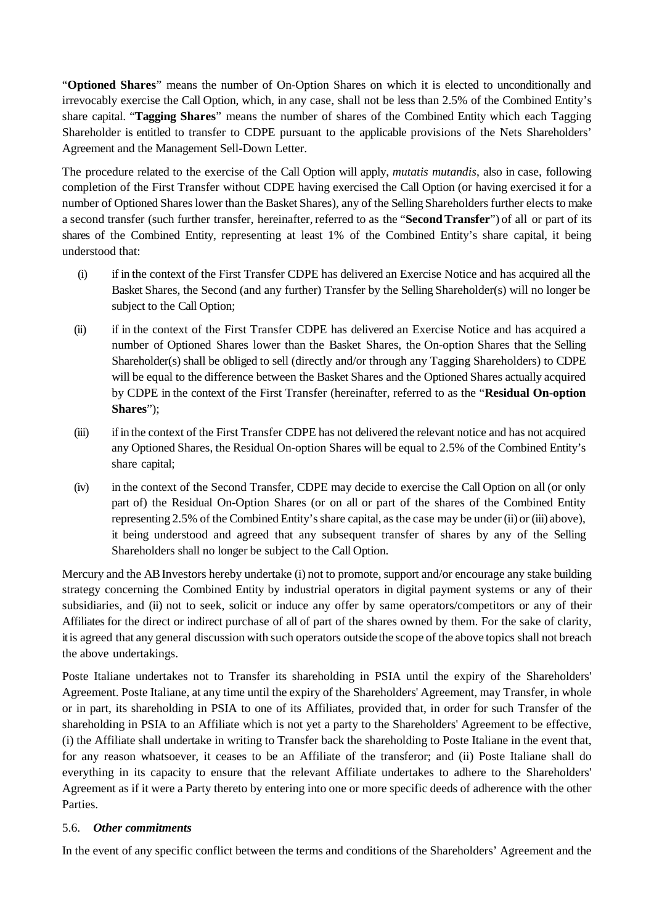"**Optioned Shares**" means the number of On-Option Shares on which it is elected to unconditionally and irrevocably exercise the Call Option, which, in any case, shall not be less than 2.5% of the Combined Entity's share capital. "**Tagging Shares**" means the number of shares of the Combined Entity which each Tagging Shareholder is entitled to transfer to CDPE pursuant to the applicable provisions of the Nets Shareholders' Agreement and the Management Sell-Down Letter.

The procedure related to the exercise of the Call Option will apply, *mutatis mutandis*, also in case, following completion of the First Transfer without CDPE having exercised the Call Option (or having exercised it for a number of Optioned Shares lower than the Basket Shares), any of the Selling Shareholders further elects to make a second transfer (such further transfer, hereinafter, referred to as the "**SecondTransfer**") of all or part of its shares of the Combined Entity, representing at least 1% of the Combined Entity's share capital, it being understood that:

- (i) if in the context of the First Transfer CDPE has delivered an Exercise Notice and has acquired all the Basket Shares, the Second (and any further) Transfer by the Selling Shareholder(s) will no longer be subject to the Call Option;
- (ii) if in the context of the First Transfer CDPE has delivered an Exercise Notice and has acquired a number of Optioned Shares lower than the Basket Shares, the On-option Shares that the Selling Shareholder(s) shall be obliged to sell (directly and/or through any Tagging Shareholders) to CDPE will be equal to the difference between the Basket Shares and the Optioned Shares actually acquired by CDPE in the context of the First Transfer (hereinafter, referred to as the "**Residual On-option Shares**");
- (iii) if in the context of the First Transfer CDPE has not delivered the relevant notice and has not acquired any Optioned Shares, the Residual On-option Shares will be equal to 2.5% of the Combined Entity's share capital;
- (iv) in the context of the Second Transfer, CDPE may decide to exercise the Call Option on all (or only part of) the Residual On-Option Shares (or on all or part of the shares of the Combined Entity representing 2.5% of the Combined Entity's share capital, as the case may be under (ii) or (iii) above), it being understood and agreed that any subsequent transfer of shares by any of the Selling Shareholders shall no longer be subject to the Call Option.

Mercury and the AB Investors hereby undertake (i) not to promote, support and/or encourage any stake building strategy concerning the Combined Entity by industrial operators in digital payment systems or any of their subsidiaries, and (ii) not to seek, solicit or induce any offer by same operators/competitors or any of their Affiliates for the direct or indirect purchase of all of part of the shares owned by them. For the sake of clarity, it is agreed that any general discussion with such operators outside the scope of the above topics shall not breach the above undertakings.

Poste Italiane undertakes not to Transfer its shareholding in PSIA until the expiry of the Shareholders' Agreement. Poste Italiane, at any time until the expiry of the Shareholders' Agreement, may Transfer, in whole or in part, its shareholding in PSIA to one of its Affiliates, provided that, in order for such Transfer of the shareholding in PSIA to an Affiliate which is not yet a party to the Shareholders' Agreement to be effective, (i) the Affiliate shall undertake in writing to Transfer back the shareholding to Poste Italiane in the event that, for any reason whatsoever, it ceases to be an Affiliate of the transferor; and (ii) Poste Italiane shall do everything in its capacity to ensure that the relevant Affiliate undertakes to adhere to the Shareholders' Agreement as if it were a Party thereto by entering into one or more specific deeds of adherence with the other Parties.

## 5.6. *Other commitments*

In the event of any specific conflict between the terms and conditions of the Shareholders' Agreement and the